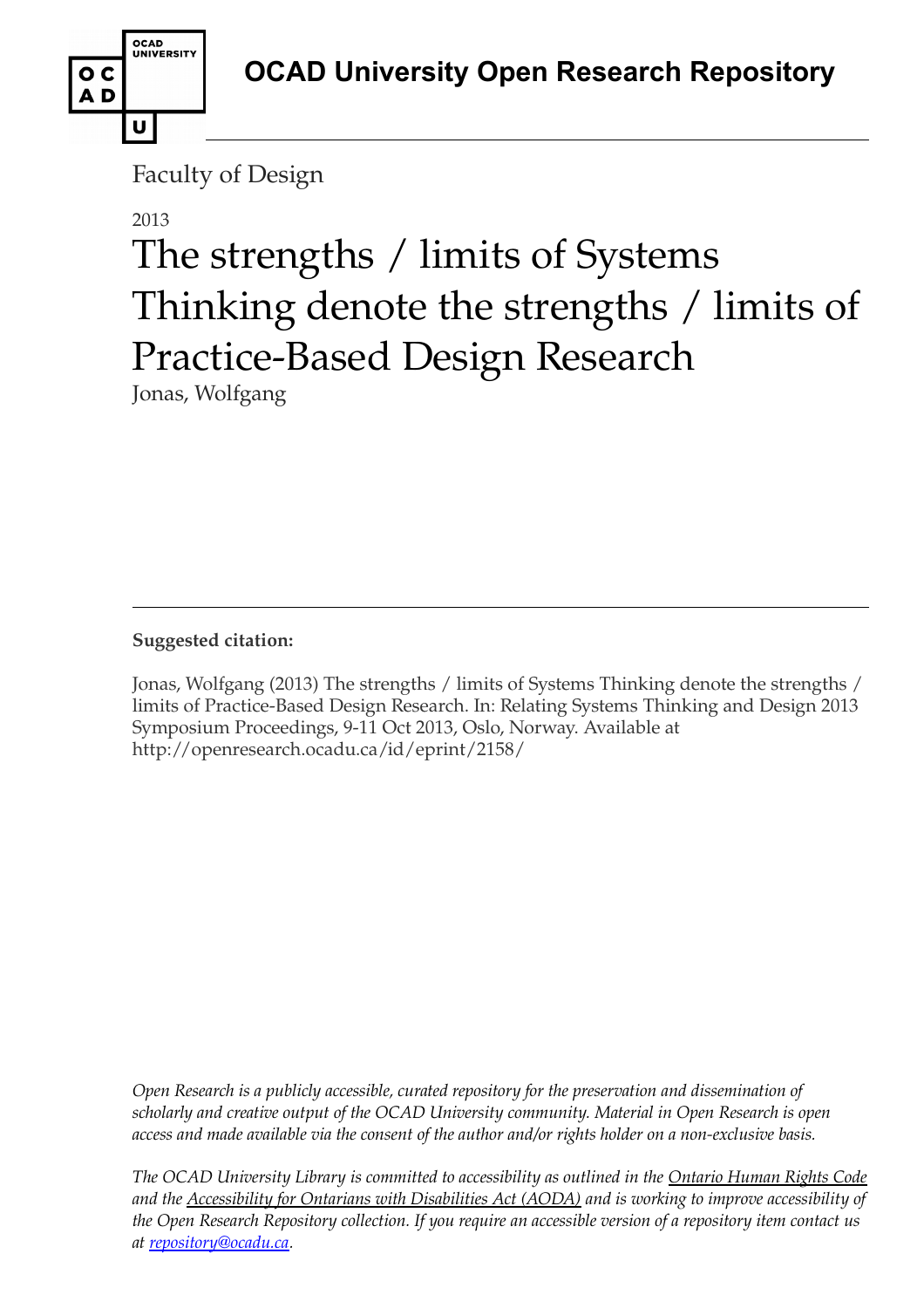

Faculty of Design

# 2013

# The strengths / limits of Systems Thinking denote the strengths / limits of Practice-Based Design Research

Jonas, Wolfgang

**Suggested citation:** 

Jonas, Wolfgang (2013) The strengths / limits of Systems Thinking denote the strengths / limits of Practice-Based Design Research. In: Relating Systems Thinking and Design 2013 Symposium Proceedings, 9-11 Oct 2013, Oslo, Norway. Available at http://openresearch.ocadu.ca/id/eprint/2158/

*Open Research is a publicly accessible, curated repository for the preservation and dissemination of scholarly and creative output of the OCAD University community. Material in Open Research is open access and made available via the consent of the author and/or rights holder on a non-exclusive basis.* 

*The OCAD University Library is committed to accessibility as outlined in the Ontario Human Rights Code and the Accessibility for Ontarians with Disabilities Act (AODA) and is working to improve accessibility of the Open Research Repository collection. If you require an accessible version of a repository item contact us at [repository@ocadu.ca.](mailto:repository@ocadu.ca)*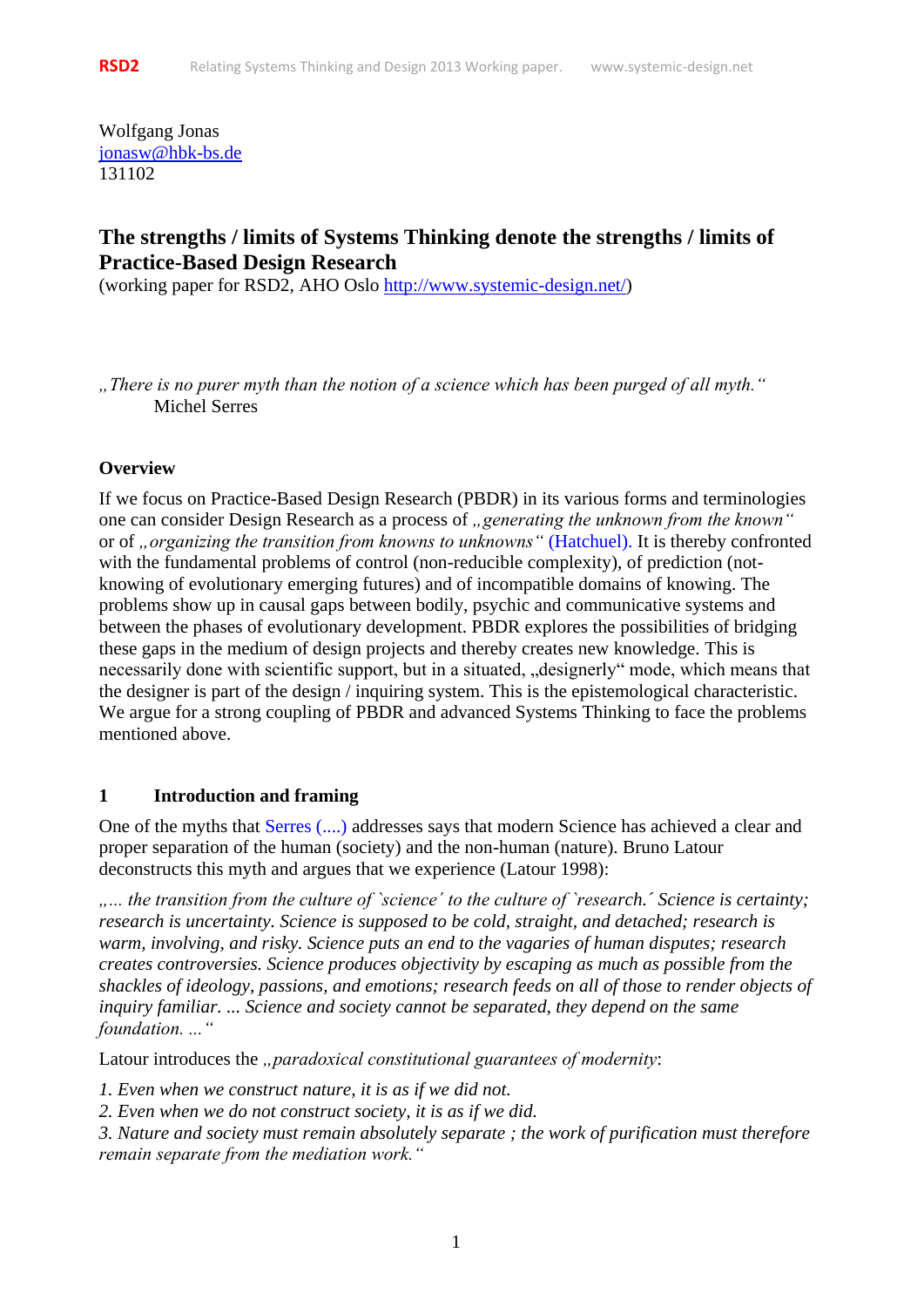Wolfgang Jonas [jonasw@hbk-bs.de](mailto:jonasw@hbk-bs.de) 131102

# **The strengths / limits of Systems Thinking denote the strengths / limits of Practice-Based Design Research**

(working paper for RSD2, AHO Oslo [http://www.systemic-design.net/\)](http://www.systemic-design.net/)

*"There is no purer myth than the notion of a science which has been purged of all myth."*  Michel Serres

#### **Overview**

If we focus on Practice-Based Design Research (PBDR) in its various forms and terminologies one can consider Design Research as a process of *"generating the unknown from the known*" or of *"organizing the transition from knowns to unknowns"* (Hatchuel). It is thereby confronted with the fundamental problems of control (non-reducible complexity), of prediction (notknowing of evolutionary emerging futures) and of incompatible domains of knowing. The problems show up in causal gaps between bodily, psychic and communicative systems and between the phases of evolutionary development. PBDR explores the possibilities of bridging these gaps in the medium of design projects and thereby creates new knowledge. This is necessarily done with scientific support, but in a situated, "designerly" mode, which means that the designer is part of the design / inquiring system. This is the epistemological characteristic. We argue for a strong coupling of PBDR and advanced Systems Thinking to face the problems mentioned above.

#### **1 Introduction and framing**

One of the myths that Serres (....) addresses says that modern Science has achieved a clear and proper separation of the human (society) and the non-human (nature). Bruno Latour deconstructs this myth and argues that we experience (Latour 1998):

*"... the transition from the culture of `science´ to the culture of `research.´ Science is certainty; research is uncertainty. Science is supposed to be cold, straight, and detached; research is warm, involving, and risky. Science puts an end to the vagaries of human disputes; research creates controversies. Science produces objectivity by escaping as much as possible from the shackles of ideology, passions, and emotions; research feeds on all of those to render objects of inquiry familiar. ... Science and society cannot be separated, they depend on the same foundation. ..."*

Latour introduces the *"paradoxical constitutional guarantees of modernity*:

*1. Even when we construct nature, it is as if we did not.*

*2. Even when we do not construct society, it is as if we did.*

*3. Nature and society must remain absolutely separate ; the work of purification must therefore remain separate from the mediation work."*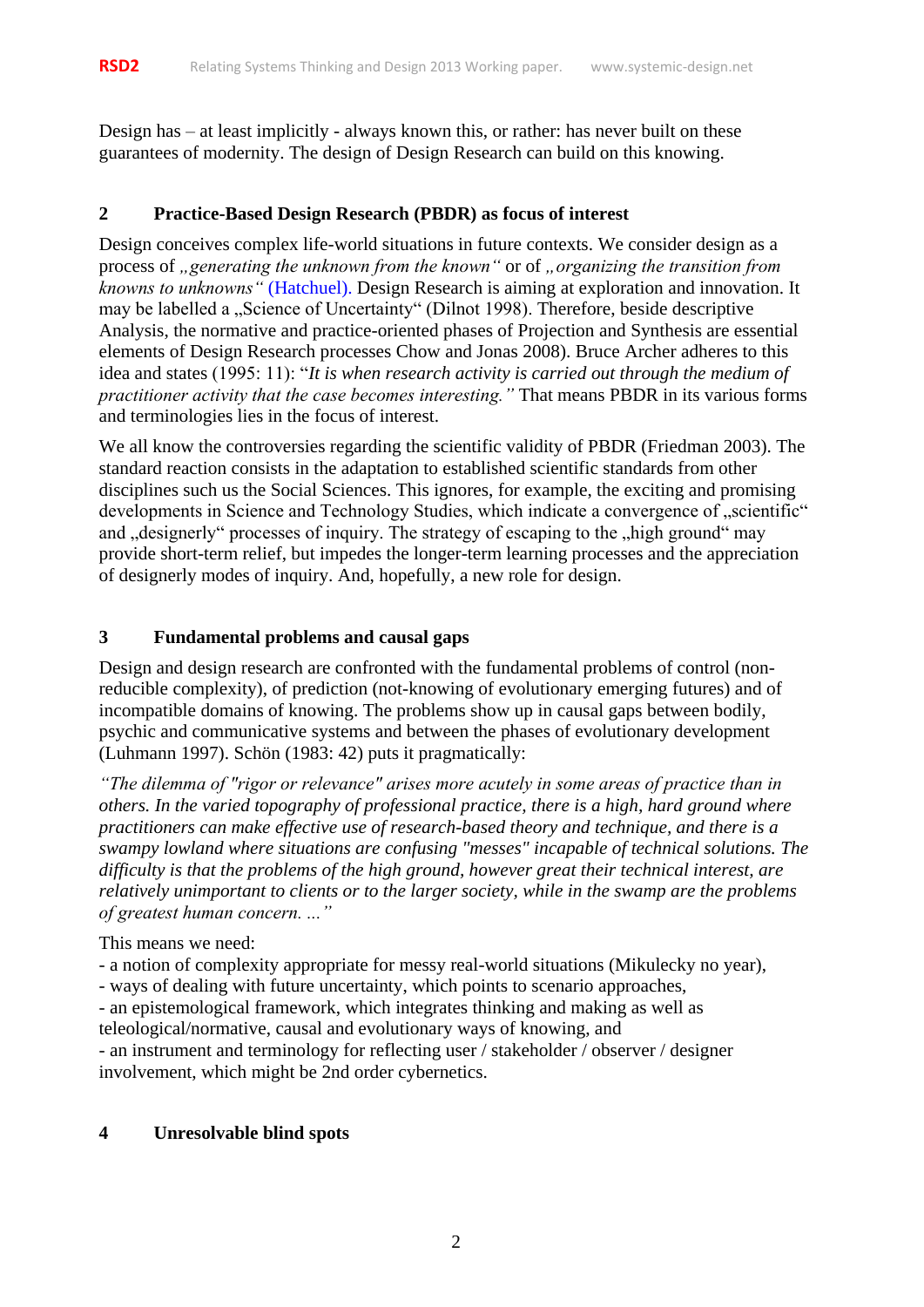Design has – at least implicitly - always known this, or rather: has never built on these guarantees of modernity. The design of Design Research can build on this knowing.

#### **2 Practice-Based Design Research (PBDR) as focus of interest**

Design conceives complex life-world situations in future contexts. We consider design as a process of *"generating the unknown from the known* " or of *"organizing the transition from knowns to unknowns"* (Hatchuel). Design Research is aiming at exploration and innovation. It may be labelled a "Science of Uncertainty" (Dilnot 1998). Therefore, beside descriptive Analysis, the normative and practice-oriented phases of Projection and Synthesis are essential elements of Design Research processes Chow and Jonas 2008). Bruce Archer adheres to this idea and states (1995: 11): "*It is when research activity is carried out through the medium of practitioner activity that the case becomes interesting."* That means PBDR in its various forms and terminologies lies in the focus of interest.

We all know the controversies regarding the scientific validity of PBDR (Friedman 2003). The standard reaction consists in the adaptation to established scientific standards from other disciplines such us the Social Sciences. This ignores, for example, the exciting and promising developments in Science and Technology Studies, which indicate a convergence of "scientific" and "designerly" processes of inquiry. The strategy of escaping to the "high ground" may provide short-term relief, but impedes the longer-term learning processes and the appreciation of designerly modes of inquiry. And, hopefully, a new role for design.

#### **3 Fundamental problems and causal gaps**

Design and design research are confronted with the fundamental problems of control (nonreducible complexity), of prediction (not-knowing of evolutionary emerging futures) and of incompatible domains of knowing. The problems show up in causal gaps between bodily, psychic and communicative systems and between the phases of evolutionary development (Luhmann 1997). Schön (1983: 42) puts it pragmatically:

*"The dilemma of "rigor or relevance" arises more acutely in some areas of practice than in others. In the varied topography of professional practice, there is a high, hard ground where practitioners can make effective use of research-based theory and technique, and there is a swampy lowland where situations are confusing "messes" incapable of technical solutions. The difficulty is that the problems of the high ground, however great their technical interest, are relatively unimportant to clients or to the larger society, while in the swamp are the problems of greatest human concern. ..."*

This means we need:

- a notion of complexity appropriate for messy real-world situations (Mikulecky no year),

- ways of dealing with future uncertainty, which points to scenario approaches,

- an epistemological framework, which integrates thinking and making as well as teleological/normative, causal and evolutionary ways of knowing, and

- an instrument and terminology for reflecting user / stakeholder / observer / designer involvement, which might be 2nd order cybernetics.

#### **4 Unresolvable blind spots**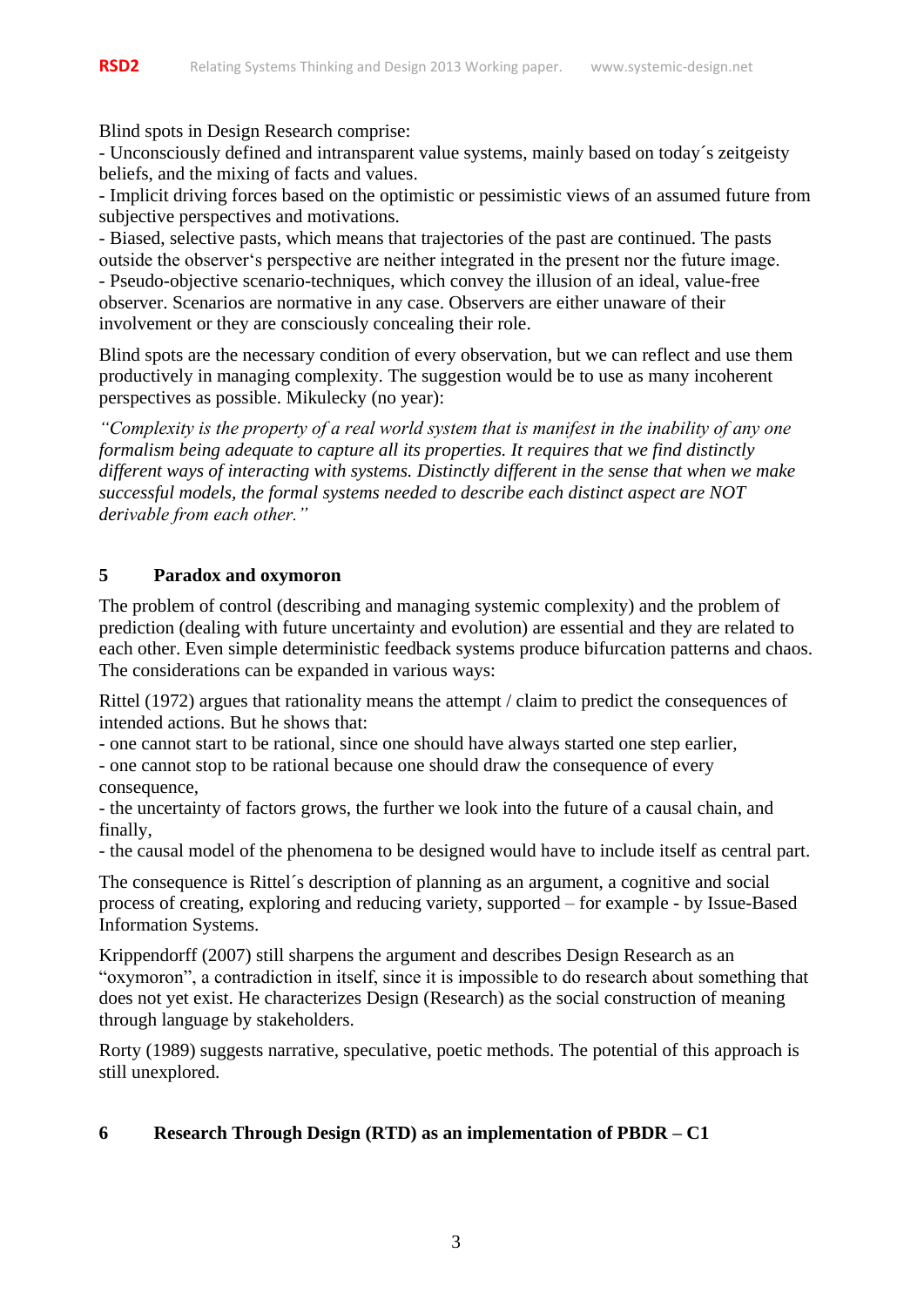Blind spots in Design Research comprise:

- Unconsciously defined and intransparent value systems, mainly based on today´s zeitgeisty beliefs, and the mixing of facts and values.

- Implicit driving forces based on the optimistic or pessimistic views of an assumed future from subjective perspectives and motivations.

- Biased, selective pasts, which means that trajectories of the past are continued. The pasts outside the observer's perspective are neither integrated in the present nor the future image. - Pseudo-objective scenario-techniques, which convey the illusion of an ideal, value-free observer. Scenarios are normative in any case. Observers are either unaware of their involvement or they are consciously concealing their role.

Blind spots are the necessary condition of every observation, but we can reflect and use them productively in managing complexity. The suggestion would be to use as many incoherent perspectives as possible. Mikulecky (no year):

*"Complexity is the property of a real world system that is manifest in the inability of any one formalism being adequate to capture all its properties. It requires that we find distinctly different ways of interacting with systems. Distinctly different in the sense that when we make successful models, the formal systems needed to describe each distinct aspect are NOT derivable from each other."*

# **5 Paradox and oxymoron**

The problem of control (describing and managing systemic complexity) and the problem of prediction (dealing with future uncertainty and evolution) are essential and they are related to each other. Even simple deterministic feedback systems produce bifurcation patterns and chaos. The considerations can be expanded in various ways:

Rittel (1972) argues that rationality means the attempt / claim to predict the consequences of intended actions. But he shows that:

- one cannot start to be rational, since one should have always started one step earlier,

- one cannot stop to be rational because one should draw the consequence of every consequence,

- the uncertainty of factors grows, the further we look into the future of a causal chain, and finally,

- the causal model of the phenomena to be designed would have to include itself as central part.

The consequence is Rittel´s description of planning as an argument, a cognitive and social process of creating, exploring and reducing variety, supported – for example - by Issue-Based Information Systems.

Krippendorff (2007) still sharpens the argument and describes Design Research as an "oxymoron", a contradiction in itself, since it is impossible to do research about something that does not yet exist. He characterizes Design (Research) as the social construction of meaning through language by stakeholders.

Rorty (1989) suggests narrative, speculative, poetic methods. The potential of this approach is still unexplored.

## **6 Research Through Design (RTD) as an implementation of PBDR – C1**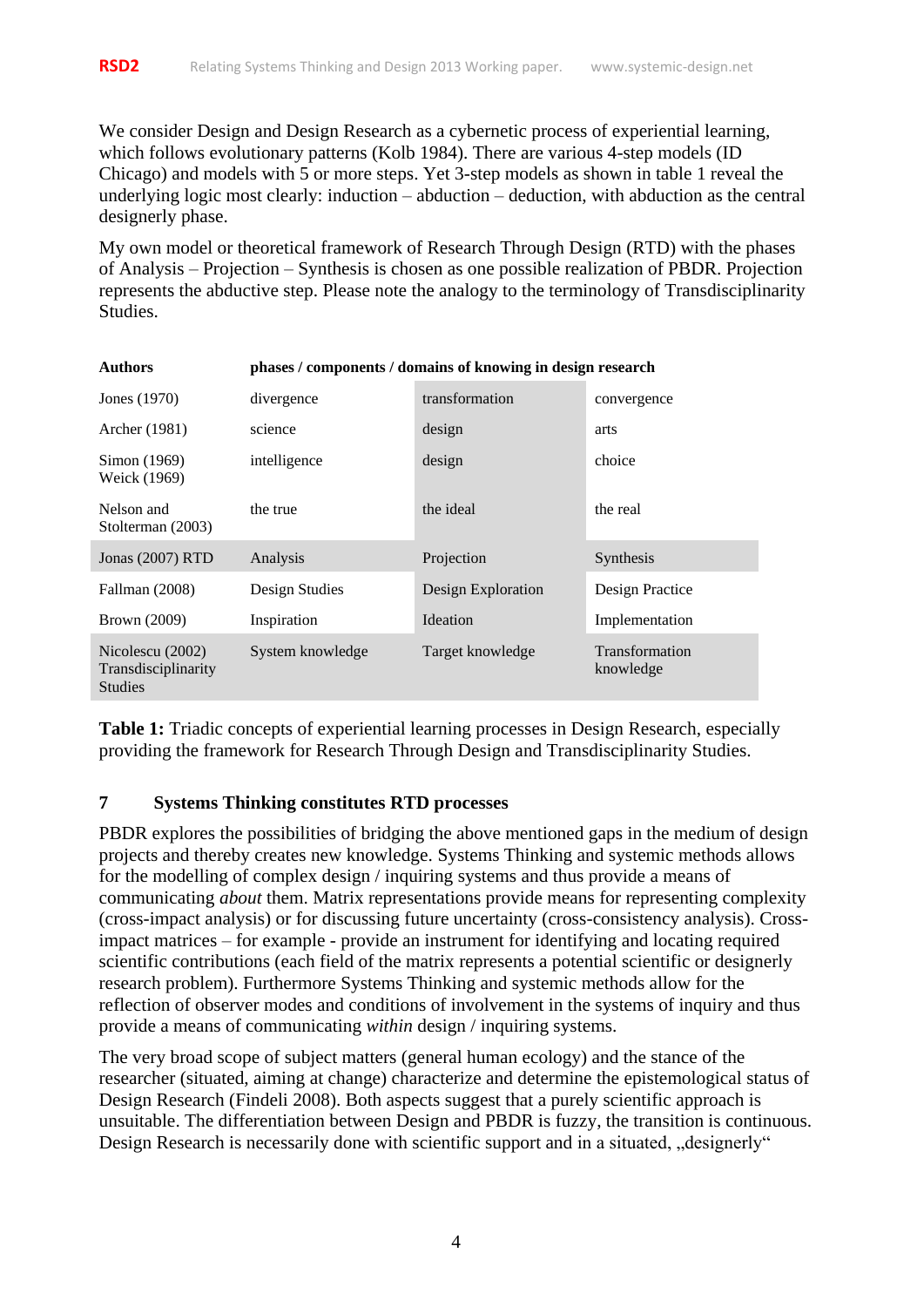We consider Design and Design Research as a cybernetic process of experiential learning, which follows evolutionary patterns (Kolb 1984). There are various 4-step models (ID Chicago) and models with 5 or more steps. Yet 3-step models as shown in table 1 reveal the underlying logic most clearly: induction – abduction – deduction, with abduction as the central designerly phase.

My own model or theoretical framework of Research Through Design (RTD) with the phases of Analysis – Projection – Synthesis is chosen as one possible realization of PBDR. Projection represents the abductive step. Please note the analogy to the terminology of Transdisciplinarity Studies.

| <b>Authors</b>                                            | phases / components / domains of knowing in design research |                    |                                    |
|-----------------------------------------------------------|-------------------------------------------------------------|--------------------|------------------------------------|
| Jones (1970)                                              | divergence                                                  | transformation     | convergence                        |
| Archer (1981)                                             | science                                                     | design             | arts                               |
| Simon (1969)<br>Weick (1969)                              | intelligence                                                | design             | choice                             |
| Nelson and<br>Stolterman (2003)                           | the true                                                    | the ideal          | the real                           |
| Jonas (2007) RTD                                          | Analysis                                                    | Projection         | <b>Synthesis</b>                   |
| Fallman (2008)                                            | Design Studies                                              | Design Exploration | Design Practice                    |
| Brown (2009)                                              | Inspiration                                                 | Ideation           | Implementation                     |
| Nicolescu (2002)<br>Transdisciplinarity<br><b>Studies</b> | System knowledge                                            | Target knowledge   | <b>Transformation</b><br>knowledge |

**Table 1:** Triadic concepts of experiential learning processes in Design Research, especially providing the framework for Research Through Design and Transdisciplinarity Studies.

#### **7 Systems Thinking constitutes RTD processes**

PBDR explores the possibilities of bridging the above mentioned gaps in the medium of design projects and thereby creates new knowledge. Systems Thinking and systemic methods allows for the modelling of complex design / inquiring systems and thus provide a means of communicating *about* them. Matrix representations provide means for representing complexity (cross-impact analysis) or for discussing future uncertainty (cross-consistency analysis). Crossimpact matrices – for example - provide an instrument for identifying and locating required scientific contributions (each field of the matrix represents a potential scientific or designerly research problem). Furthermore Systems Thinking and systemic methods allow for the reflection of observer modes and conditions of involvement in the systems of inquiry and thus provide a means of communicating *within* design / inquiring systems.

The very broad scope of subject matters (general human ecology) and the stance of the researcher (situated, aiming at change) characterize and determine the epistemological status of Design Research (Findeli 2008). Both aspects suggest that a purely scientific approach is unsuitable. The differentiation between Design and PBDR is fuzzy, the transition is continuous. Design Research is necessarily done with scientific support and in a situated, "designerly"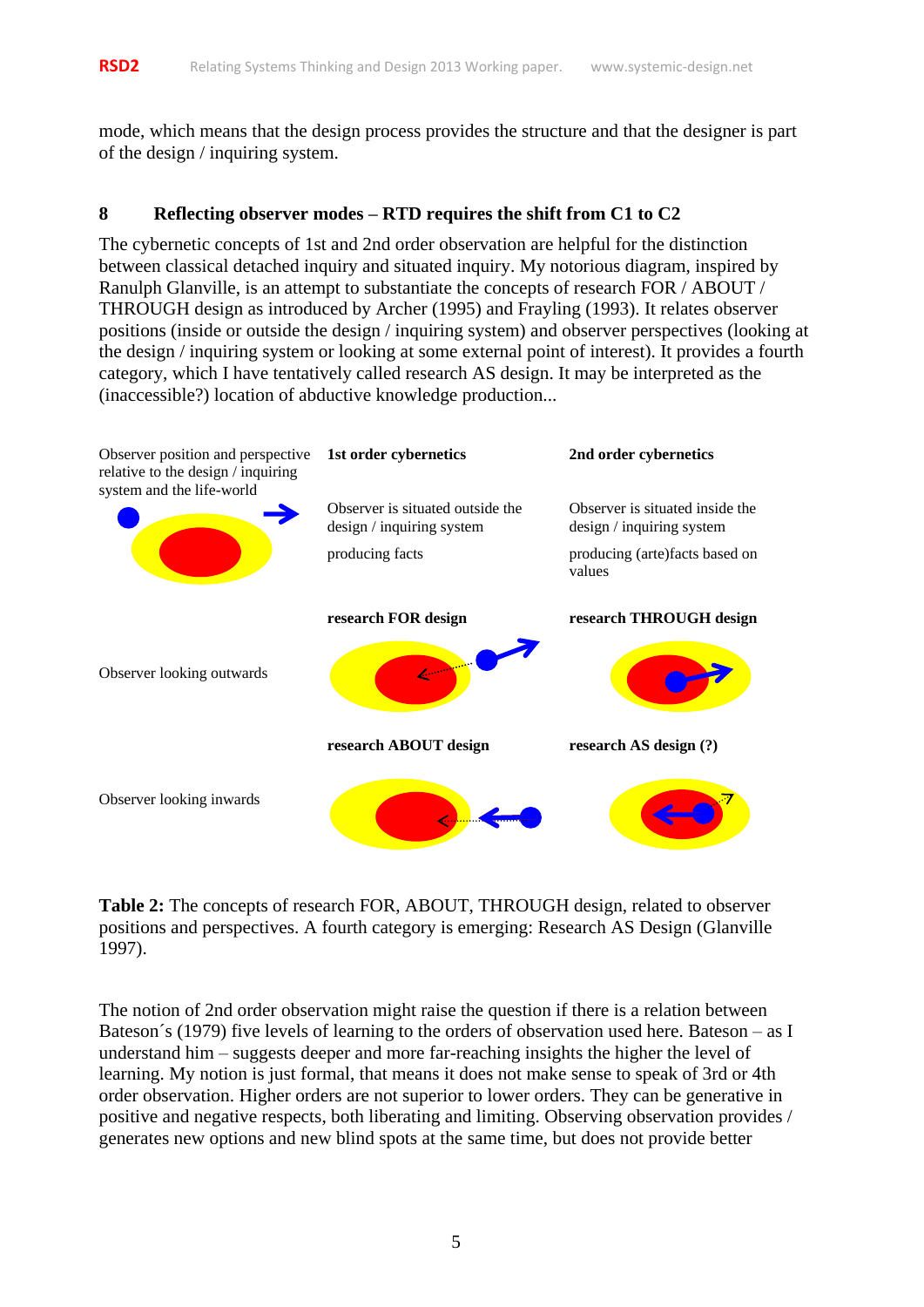mode, which means that the design process provides the structure and that the designer is part of the design / inquiring system.

### **8 Reflecting observer modes – RTD requires the shift from C1 to C2**

The cybernetic concepts of 1st and 2nd order observation are helpful for the distinction between classical detached inquiry and situated inquiry. My notorious diagram, inspired by Ranulph Glanville, is an attempt to substantiate the concepts of research FOR / ABOUT / THROUGH design as introduced by Archer (1995) and Frayling (1993). It relates observer positions (inside or outside the design / inquiring system) and observer perspectives (looking at the design / inquiring system or looking at some external point of interest). It provides a fourth category, which I have tentatively called research AS design. It may be interpreted as the (inaccessible?) location of abductive knowledge production...



**Table 2:** The concepts of research FOR, ABOUT, THROUGH design, related to observer positions and perspectives. A fourth category is emerging: Research AS Design (Glanville 1997).

The notion of 2nd order observation might raise the question if there is a relation between Bateson´s (1979) five levels of learning to the orders of observation used here. Bateson – as I understand him – suggests deeper and more far-reaching insights the higher the level of learning. My notion is just formal, that means it does not make sense to speak of 3rd or 4th order observation. Higher orders are not superior to lower orders. They can be generative in positive and negative respects, both liberating and limiting. Observing observation provides / generates new options and new blind spots at the same time, but does not provide better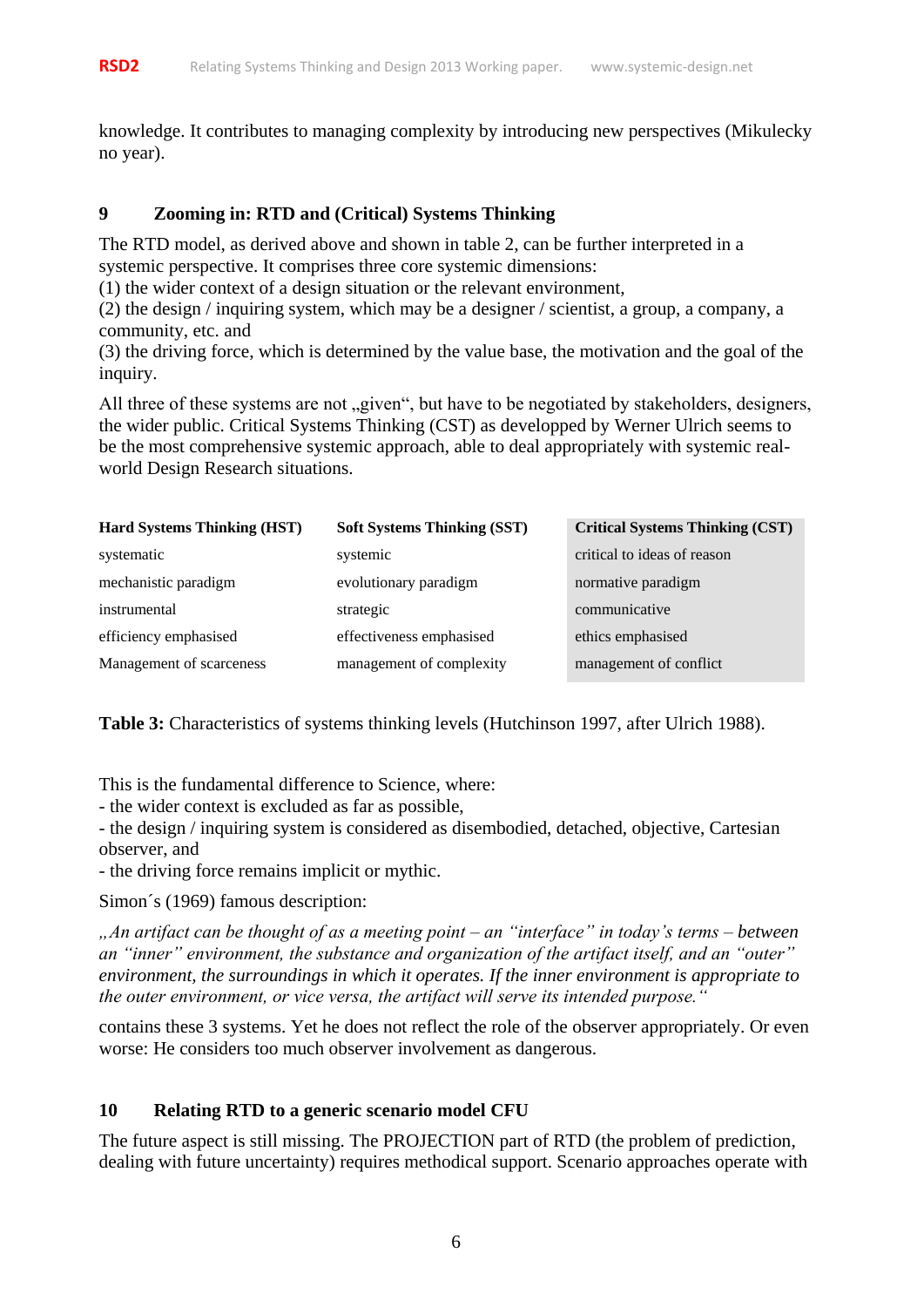knowledge. It contributes to managing complexity by introducing new perspectives (Mikulecky no year).

# **9 Zooming in: RTD and (Critical) Systems Thinking**

The RTD model, as derived above and shown in table 2, can be further interpreted in a systemic perspective. It comprises three core systemic dimensions:

(1) the wider context of a design situation or the relevant environment,

(2) the design / inquiring system, which may be a designer / scientist, a group, a company, a community, etc. and

(3) the driving force, which is determined by the value base, the motivation and the goal of the inquiry.

All three of these systems are not "given", but have to be negotiated by stakeholders, designers, the wider public. Critical Systems Thinking (CST) as developped by Werner Ulrich seems to be the most comprehensive systemic approach, able to deal appropriately with systemic realworld Design Research situations.

| <b>Hard Systems Thinking (HST)</b> | <b>Soft Systems Thinking (SST)</b> | <b>Critical Systems Thinking (CST)</b> |
|------------------------------------|------------------------------------|----------------------------------------|
| systematic                         | systemic                           | critical to ideas of reason            |
| mechanistic paradigm               | evolutionary paradigm              | normative paradigm                     |
| instrumental                       | strategic                          | communicative                          |
| efficiency emphasised              | effectiveness emphasised           | ethics emphasised                      |
| Management of scarceness           | management of complexity           | management of conflict                 |

**Table 3:** Characteristics of systems thinking levels (Hutchinson 1997, after Ulrich 1988).

This is the fundamental difference to Science, where:

- the wider context is excluded as far as possible,

- the design / inquiring system is considered as disembodied, detached, objective, Cartesian observer, and

- the driving force remains implicit or mythic.

Simon´s (1969) famous description:

*"An artifact can be thought of as a meeting point – an "interface" in today's terms – between an "inner" environment, the substance and organization of the artifact itself, and an "outer" environment, the surroundings in which it operates. If the inner environment is appropriate to the outer environment, or vice versa, the artifact will serve its intended purpose."*

contains these 3 systems. Yet he does not reflect the role of the observer appropriately. Or even worse: He considers too much observer involvement as dangerous.

# **10 Relating RTD to a generic scenario model CFU**

The future aspect is still missing. The PROJECTION part of RTD (the problem of prediction, dealing with future uncertainty) requires methodical support. Scenario approaches operate with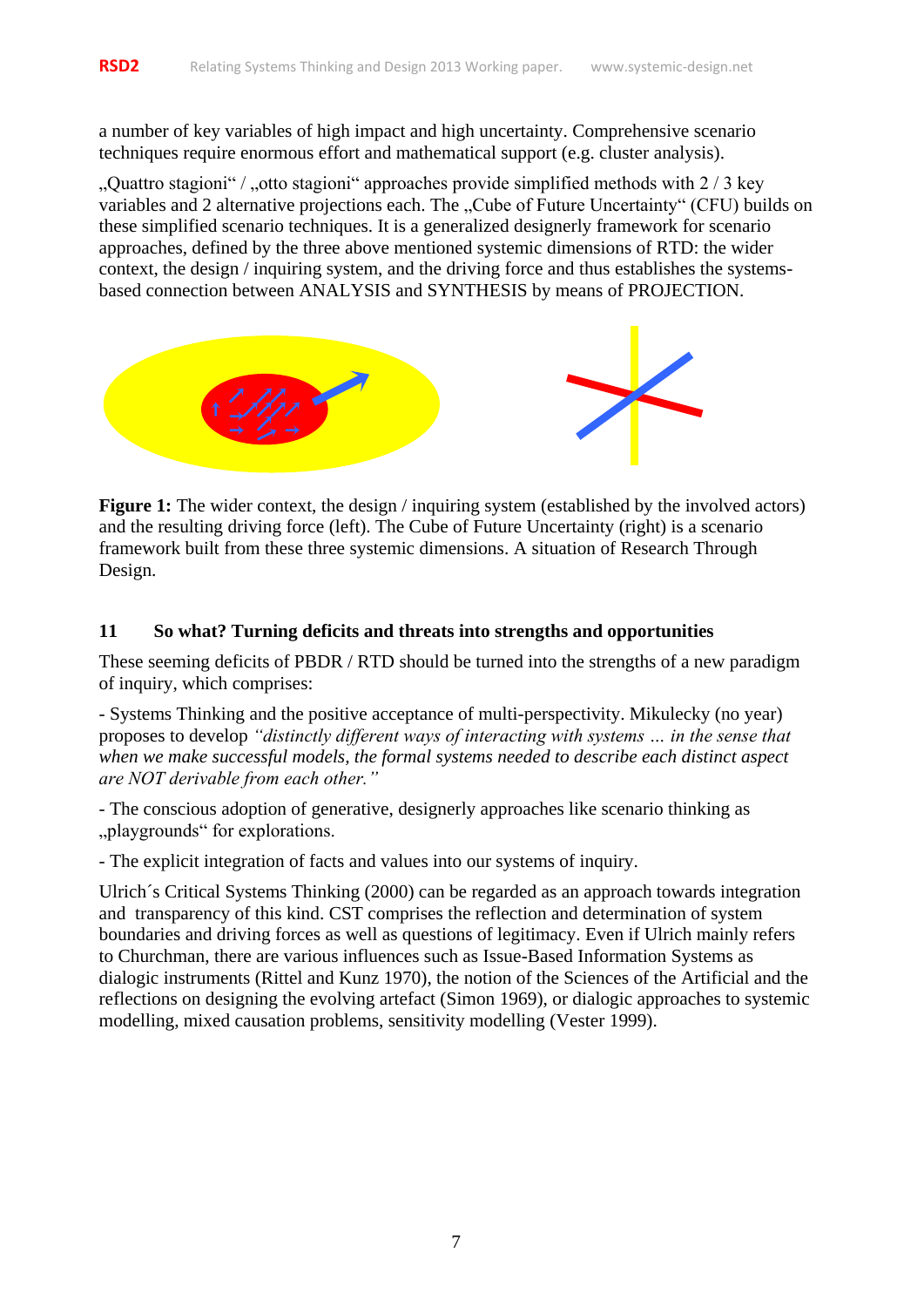a number of key variables of high impact and high uncertainty. Comprehensive scenario techniques require enormous effort and mathematical support (e.g. cluster analysis).

", Quattro stagioni" / ", otto stagioni" approaches provide simplified methods with 2 / 3 key variables and 2 alternative projections each. The "Cube of Future Uncertainty" (CFU) builds on these simplified scenario techniques. It is a generalized designerly framework for scenario approaches, defined by the three above mentioned systemic dimensions of RTD: the wider context, the design / inquiring system, and the driving force and thus establishes the systemsbased connection between ANALYSIS and SYNTHESIS by means of PROJECTION.



**Figure 1:** The wider context, the design / inquiring system (established by the involved actors) and the resulting driving force (left). The Cube of Future Uncertainty (right) is a scenario framework built from these three systemic dimensions. A situation of Research Through Design.

#### **11 So what? Turning deficits and threats into strengths and opportunities**

These seeming deficits of PBDR / RTD should be turned into the strengths of a new paradigm of inquiry, which comprises:

- Systems Thinking and the positive acceptance of multi-perspectivity. Mikulecky (no year) proposes to develop *"distinctly different ways of interacting with systems … in the sense that when we make successful models, the formal systems needed to describe each distinct aspect are NOT derivable from each other."*

- The conscious adoption of generative, designerly approaches like scenario thinking as "playgrounds" for explorations.

- The explicit integration of facts and values into our systems of inquiry.

Ulrich´s Critical Systems Thinking (2000) can be regarded as an approach towards integration and transparency of this kind. CST comprises the reflection and determination of system boundaries and driving forces as well as questions of legitimacy. Even if Ulrich mainly refers to Churchman, there are various influences such as Issue-Based Information Systems as dialogic instruments (Rittel and Kunz 1970), the notion of the Sciences of the Artificial and the reflections on designing the evolving artefact (Simon 1969), or dialogic approaches to systemic modelling, mixed causation problems, sensitivity modelling (Vester 1999).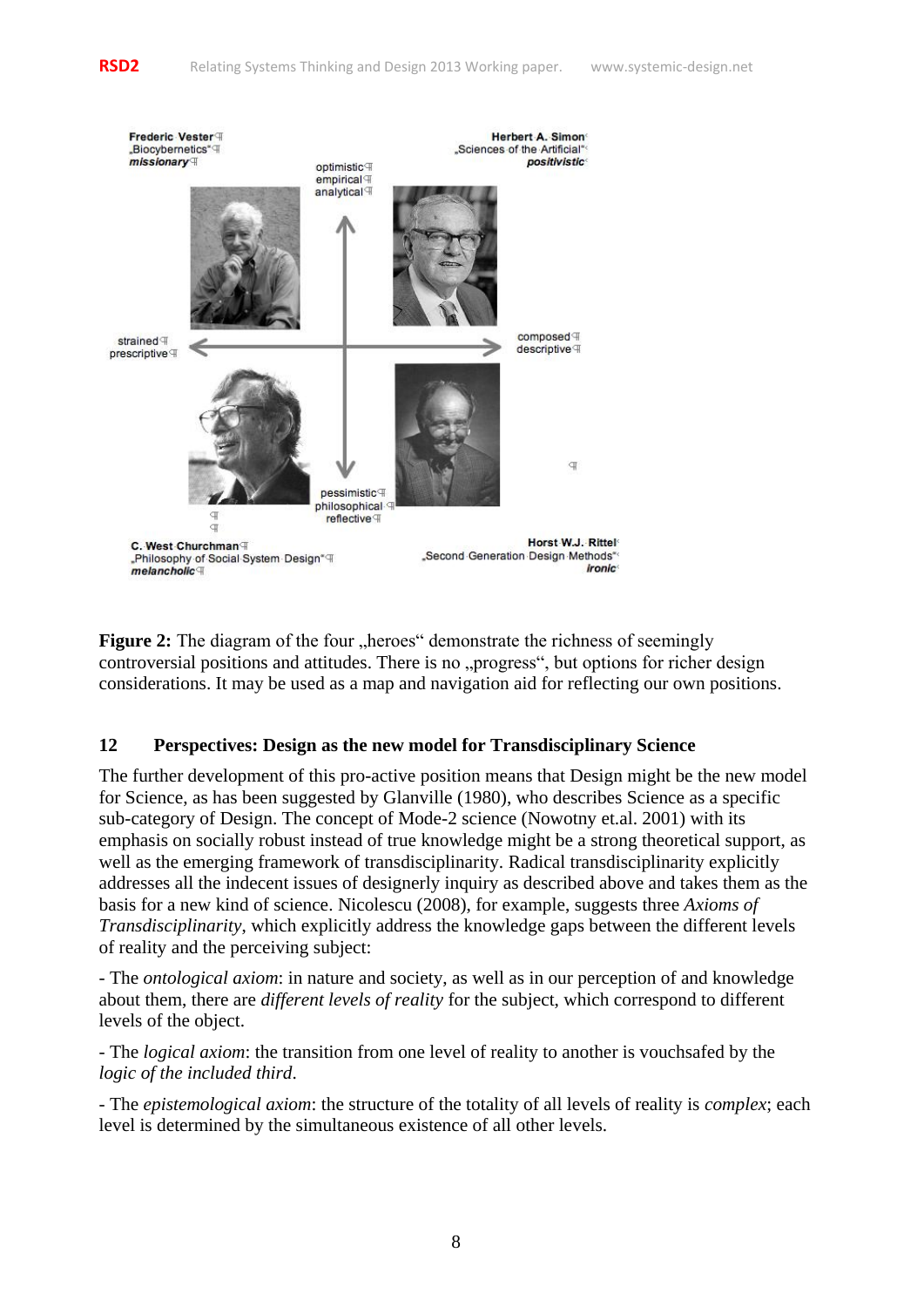

**Figure 2:** The diagram of the four "heroes" demonstrate the richness of seemingly controversial positions and attitudes. There is no "progress", but options for richer design considerations. It may be used as a map and navigation aid for reflecting our own positions.

## **12 Perspectives: Design as the new model for Transdisciplinary Science**

The further development of this pro-active position means that Design might be the new model for Science, as has been suggested by Glanville (1980), who describes Science as a specific sub-category of Design. The concept of Mode-2 science (Nowotny et.al. 2001) with its emphasis on socially robust instead of true knowledge might be a strong theoretical support, as well as the emerging framework of transdisciplinarity. Radical transdisciplinarity explicitly addresses all the indecent issues of designerly inquiry as described above and takes them as the basis for a new kind of science. Nicolescu (2008), for example, suggests three *Axioms of Transdisciplinarity*, which explicitly address the knowledge gaps between the different levels of reality and the perceiving subject:

- The *ontological axiom*: in nature and society, as well as in our perception of and knowledge about them, there are *different levels of reality* for the subject, which correspond to different levels of the object.

- The *logical axiom*: the transition from one level of reality to another is vouchsafed by the *logic of the included third*.

- The *epistemological axiom*: the structure of the totality of all levels of reality is *complex*; each level is determined by the simultaneous existence of all other levels.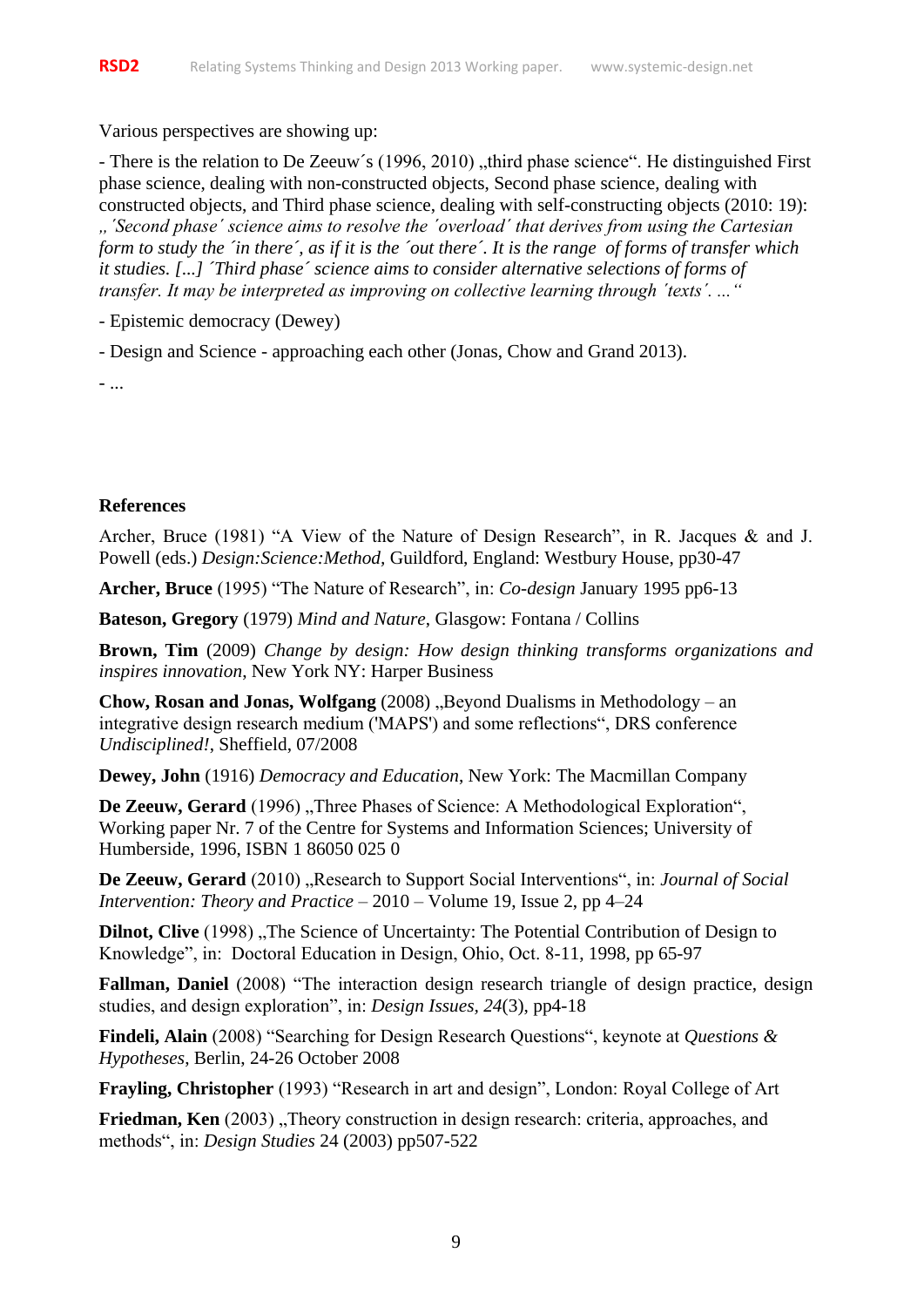Various perspectives are showing up:

- There is the relation to De Zeeuw's (1996, 2010), third phase science". He distinguished First phase science, dealing with non-constructed objects, Second phase science, dealing with constructed objects, and Third phase science, dealing with self-constructing objects (2010: 19):

*"´Second phase´ science aims to resolve the ´overload´ that derives from using the Cartesian form to study the ´in there´, as if it is the ´out there´. It is the range of forms of transfer which it studies. [...] ´Third phase´ science aims to consider alternative selections of forms of transfer. It may be interpreted as improving on collective learning through ´texts´. ..."*

- Epistemic democracy (Dewey)

- Design and Science - approaching each other (Jonas, Chow and Grand 2013).

- ...

#### **References**

Archer, Bruce (1981) "A View of the Nature of Design Research", in R. Jacques & and J. Powell (eds.) *Design:Science:Method,* Guildford, England: Westbury House, pp30-47

**Archer, Bruce** (1995) "The Nature of Research", in: *Co-design* January 1995 pp6-13

**Bateson, Gregory** (1979) *Mind and Nature*, Glasgow: Fontana / Collins

**Brown, Tim** (2009) *Change by design: How design thinking transforms organizations and inspires innovation*, New York NY: Harper Business

**Chow, Rosan and Jonas, Wolfgang** (2008) "Beyond Dualisms in Methodology – an integrative design research medium ('MAPS') and some reflections", DRS conference *Undisciplined!*, Sheffield, 07/2008

**Dewey, John** (1916) *Democracy and Education*, New York: The Macmillan Company

De Zeeuw, Gerard (1996) "Three Phases of Science: A Methodological Exploration", Working paper Nr. 7 of the Centre for Systems and Information Sciences; University of Humberside, 1996, ISBN 1 86050 025 0

**De Zeeuw, Gerard** (2010) "Research to Support Social Interventions", in: *Journal of Social Intervention: Theory and Practice* – 2010 – Volume 19, Issue 2, pp 4–24

**Dilnot, Clive** (1998) "The Science of Uncertainty: The Potential Contribution of Design to Knowledge", in: Doctoral Education in Design, Ohio, Oct. 8-11, 1998, pp 65-97

**Fallman, Daniel** (2008) "The interaction design research triangle of design practice, design studies, and design exploration", in: *Design Issues, 24*(3), pp4-18

**Findeli, Alain** (2008) "Searching for Design Research Questions", keynote at *Questions & Hypotheses*, Berlin, 24-26 October 2008

**Frayling, Christopher** (1993) "Research in art and design", London: Royal College of Art

**Friedman, Ken** (2003), Theory construction in design research: criteria, approaches, and methods", in: *Design Studies* 24 (2003) pp507-522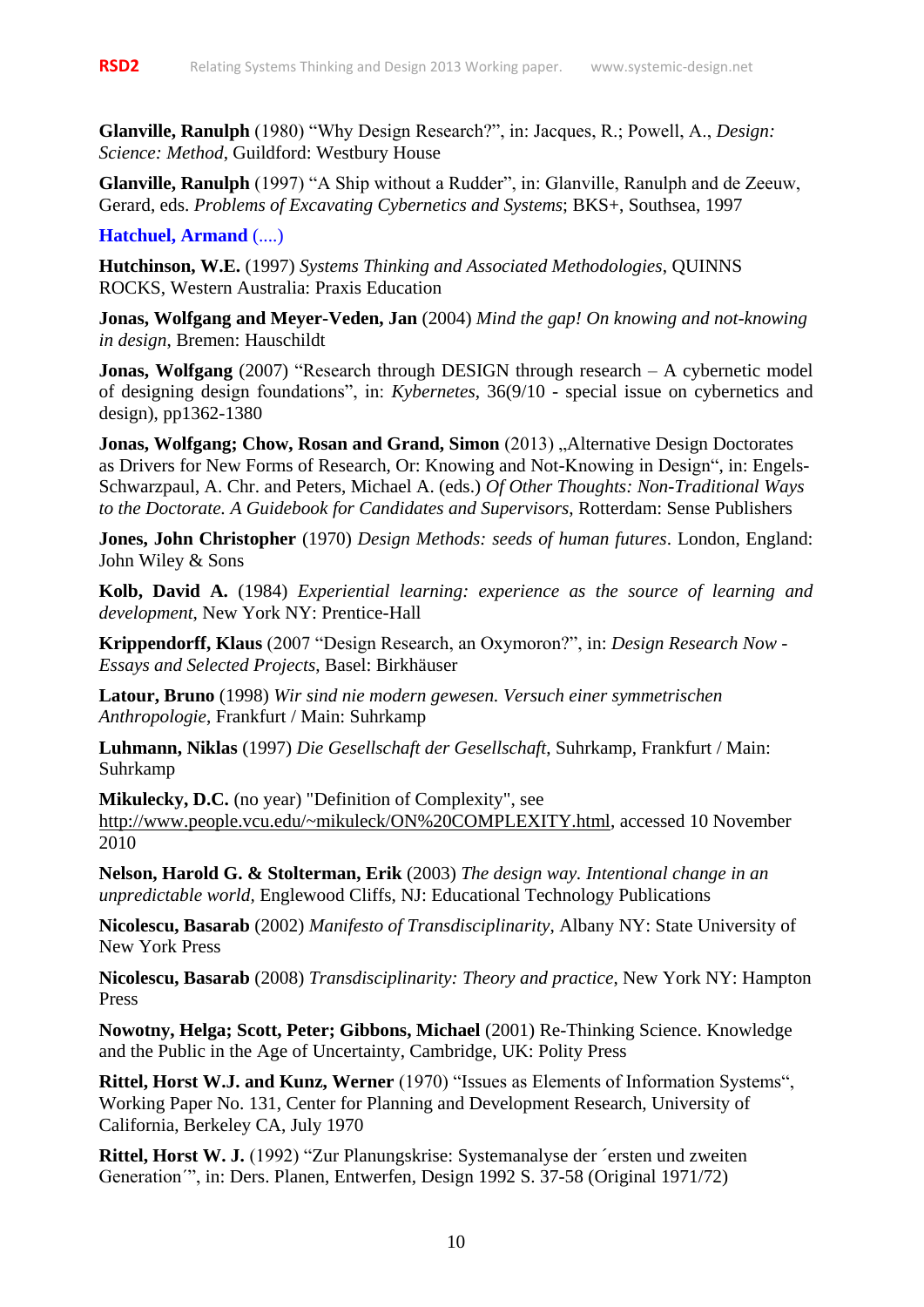**Glanville, Ranulph** (1980) "Why Design Research?", in: Jacques, R.; Powell, A., *Design: Science: Method*, Guildford: Westbury House

**Glanville, Ranulph** (1997) "A Ship without a Rudder", in: Glanville, Ranulph and de Zeeuw, Gerard, eds. *Problems of Excavating Cybernetics and Systems*; BKS+, Southsea, 1997

**Hatchuel, Armand** (....)

**Hutchinson, W.E.** (1997) *Systems Thinking and Associated Methodologies*, QUINNS ROCKS, Western Australia: Praxis Education

**Jonas, Wolfgang and Meyer-Veden, Jan** (2004) *Mind the gap! On knowing and not-knowing in design*, Bremen: Hauschildt

**Jonas, Wolfgang** (2007) "Research through DESIGN through research – A cybernetic model of designing design foundations", in: *Kybernetes*, 36(9/10 - special issue on cybernetics and design), pp1362-1380

**Jonas, Wolfgang; Chow, Rosan and Grand, Simon** (2013) "Alternative Design Doctorates as Drivers for New Forms of Research, Or: Knowing and Not-Knowing in Design", in: Engels-Schwarzpaul, A. Chr. and Peters, Michael A. (eds.) *Of Other Thoughts: Non-Traditional Ways to the Doctorate. A Guidebook for Candidates and Supervisors*, Rotterdam: Sense Publishers

**Jones, John Christopher** (1970) *Design Methods: seeds of human futures*. London, England: John Wiley & Sons

**Kolb, David A.** (1984) *Experiential learning: experience as the source of learning and development*, New York NY: Prentice-Hall

**Krippendorff, Klaus** (2007 "Design Research, an Oxymoron?", in: *[Design Research Now -](http://www.birkhauser-promotion.ch/DesignResearchNow/designresearch.swf) [Essays and Selected Projects](http://www.birkhauser-promotion.ch/DesignResearchNow/designresearch.swf)*, Basel: Birkhäuser

**Latour, Bruno** (1998) *Wir sind nie modern gewesen. Versuch einer symmetrischen Anthropologie*, Frankfurt / Main: Suhrkamp

**Luhmann, Niklas** (1997) *Die Gesellschaft der Gesellschaft*, Suhrkamp, Frankfurt / Main: Suhrkamp

**Mikulecky, D.C.** (no year) "Definition of Complexity", see [http://www.people.vcu.edu/~mikuleck/ON%20COMPLEXITY.html,](http://www.people.vcu.edu/~mikuleck/ON%20COMPLEXITY.html) accessed 10 November 2010

**Nelson, Harold G. & Stolterman, Erik** (2003) *The design way. Intentional change in an unpredictable world,* Englewood Cliffs, NJ: Educational Technology Publications

**Nicolescu, Basarab** (2002) *Manifesto of Transdisciplinarity*, Albany NY: State University of New York Press

**Nicolescu, Basarab** (2008) *Transdisciplinarity: Theory and practice*, New York NY: Hampton Press

**Nowotny, Helga; Scott, Peter; Gibbons, Michael** (2001) Re-Thinking Science. Knowledge and the Public in the Age of Uncertainty, Cambridge, UK: Polity Press

**Rittel, Horst W.J. and Kunz, Werner** (1970) "Issues as Elements of Information Systems", Working Paper No. 131, Center for Planning and Development Research, University of California, Berkeley CA, July 1970

**Rittel, Horst W. J.** (1992) "Zur Planungskrise: Systemanalyse der ´ersten und zweiten Generation´", in: Ders. Planen, Entwerfen, Design 1992 S. 37-58 (Original 1971/72)